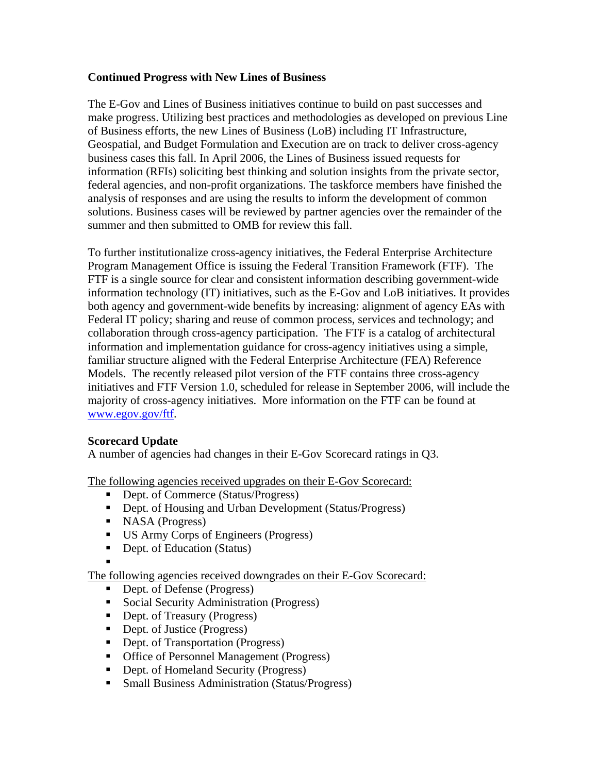## **Continued Progress with New Lines of Business**

The E-Gov and Lines of Business initiatives continue to build on past successes and make progress. Utilizing best practices and methodologies as developed on previous Line of Business efforts, the new Lines of Business (LoB) including IT Infrastructure, Geospatial, and Budget Formulation and Execution are on track to deliver cross-agency business cases this fall. In April 2006, the Lines of Business issued requests for information (RFIs) soliciting best thinking and solution insights from the private sector, federal agencies, and non-profit organizations. The taskforce members have finished the analysis of responses and are using the results to inform the development of common solutions. Business cases will be reviewed by partner agencies over the remainder of the summer and then submitted to OMB for review this fall.

To further institutionalize cross-agency initiatives, the Federal Enterprise Architecture Program Management Office is issuing the Federal Transition Framework (FTF). The FTF is a single source for clear and consistent information describing government-wide information technology (IT) initiatives, such as the E-Gov and LoB initiatives. It provides both agency and government-wide benefits by increasing: alignment of agency EAs with Federal IT policy; sharing and reuse of common process, services and technology; and collaboration through cross-agency participation. The FTF is a catalog of architectural information and implementation guidance for cross-agency initiatives using a simple, familiar structure aligned with the Federal Enterprise Architecture (FEA) Reference Models. The recently released pilot version of the FTF contains three cross-agency initiatives and FTF Version 1.0, scheduled for release in September 2006, will include the majority of cross-agency initiatives. More information on the FTF can be found at www.egov.gov/ftf.

## **Scorecard Update**

A number of agencies had changes in their E-Gov Scorecard ratings in Q3.

The following agencies received upgrades on their E-Gov Scorecard:

- Dept. of Commerce (Status/Progress)
- Dept. of Housing and Urban Development (Status/Progress)
- $NASA$  (Progress)
- US Army Corps of Engineers (Progress)
- Dept. of Education (Status)

. The following agencies received downgrades on their E-Gov Scorecard:

- Dept. of Defense (Progress)
- Social Security Administration (Progress)
- Dept. of Treasury (Progress)
- Dept. of Justice (Progress)
- Dept. of Transportation (Progress)
- Office of Personnel Management (Progress)
- Dept. of Homeland Security (Progress)
- Small Business Administration (Status/Progress)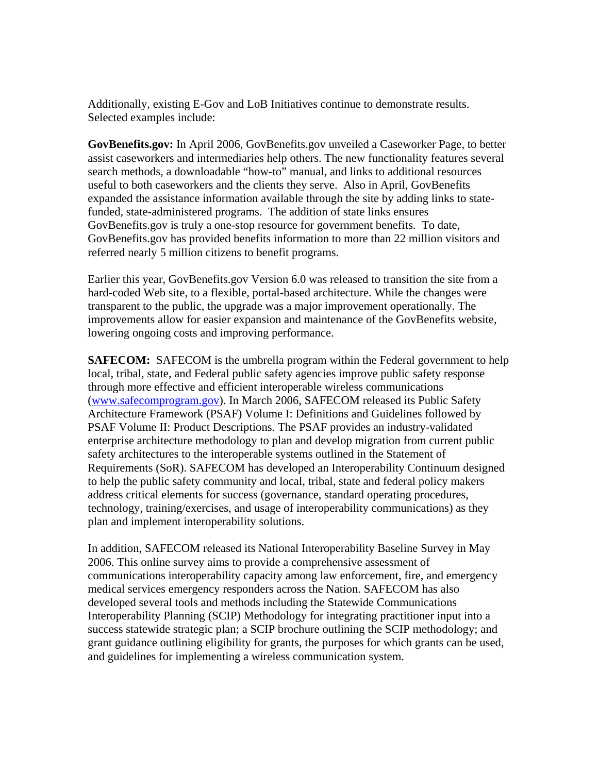Additionally, existing E-Gov and LoB Initiatives continue to demonstrate results. Selected examples include:

**GovBenefits.gov:** In April 2006, GovBenefits.gov unveiled a Caseworker Page, to better assist caseworkers and intermediaries help others. The new functionality features several search methods, a downloadable "how-to" manual, and links to additional resources useful to both caseworkers and the clients they serve. Also in April, GovBenefits expanded the assistance information available through the site by adding links to statefunded, state-administered programs. The addition of state links ensures GovBenefits.gov is truly a one-stop resource for government benefits. To date, GovBenefits.gov has provided benefits information to more than 22 million visitors and referred nearly 5 million citizens to benefit programs.

Earlier this year, GovBenefits.gov Version 6.0 was released to transition the site from a hard-coded Web site, to a flexible, portal-based architecture. While the changes were transparent to the public, the upgrade was a major improvement operationally. The improvements allow for easier expansion and maintenance of the GovBenefits website, lowering ongoing costs and improving performance.

**SAFECOM:** SAFECOM is the umbrella program within the Federal government to help local, tribal, state, and Federal public safety agencies improve public safety response through more effective and efficient interoperable wireless communications (www.safecomprogram.gov). In March 2006, SAFECOM released its Public Safety Architecture Framework (PSAF) Volume I: Definitions and Guidelines followed by PSAF Volume II: Product Descriptions. The PSAF provides an industry-validated enterprise architecture methodology to plan and develop migration from current public safety architectures to the interoperable systems outlined in the Statement of Requirements (SoR). SAFECOM has developed an Interoperability Continuum designed to help the public safety community and local, tribal, state and federal policy makers address critical elements for success (governance, standard operating procedures, technology, training/exercises, and usage of interoperability communications) as they plan and implement interoperability solutions.

In addition, SAFECOM released its National Interoperability Baseline Survey in May 2006. This online survey aims to provide a comprehensive assessment of communications interoperability capacity among law enforcement, fire, and emergency medical services emergency responders across the Nation. SAFECOM has also developed several tools and methods including the Statewide Communications Interoperability Planning (SCIP) Methodology for integrating practitioner input into a success statewide strategic plan; a SCIP brochure outlining the SCIP methodology; and grant guidance outlining eligibility for grants, the purposes for which grants can be used, and guidelines for implementing a wireless communication system.